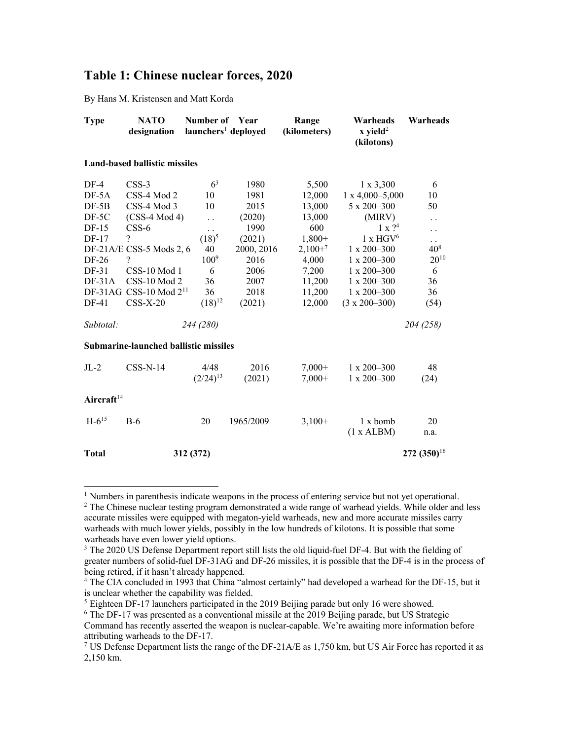## **Table 1: Chinese nuclear forces, 2020**

By Hans M. Kristensen and Matt Korda

| <b>Type</b>                                  | <b>NATO</b><br>designation         | Number of Year<br>$launchers1$ deployed |            | Range<br>(kilometers) | Warheads<br>$x$ yield <sup>2</sup><br>(kilotons) | Warheads             |
|----------------------------------------------|------------------------------------|-----------------------------------------|------------|-----------------------|--------------------------------------------------|----------------------|
| <b>Land-based ballistic missiles</b>         |                                    |                                         |            |                       |                                                  |                      |
| $DF-4$                                       | $CSS-3$                            | 6 <sup>3</sup>                          | 1980       | 5,500                 | $1 \times 3,300$                                 | 6                    |
| $DF-5A$                                      | CSS-4 Mod 2                        | 10                                      | 1981       | 12,000                | $1 \times 4,000 - 5,000$                         | 10                   |
| $DF-5B$                                      | CSS-4 Mod 3                        | 10                                      | 2015       | 13,000                | 5 x 200-300                                      | 50                   |
| $DF-5C$                                      | $(CSS-4 Mod 4)$                    | $\ddot{\phantom{0}}$                    | (2020)     | 13,000                | (MIRV)                                           | $\ddot{\phantom{0}}$ |
| $DF-15$                                      | $CSS-6$                            | $\ddot{\phantom{0}}$                    | 1990       | 600                   | $1 \times 2^4$                                   | $\ddot{\phantom{0}}$ |
| $DF-17$                                      | $\overline{\cdot}$                 | $(18)^5$                                | (2021)     | $1,800+$              | $1$ x $\rm{HGV}^6$                               | $\ddot{\phantom{0}}$ |
|                                              | DF-21A/E CSS-5 Mods 2, 6           | 40                                      | 2000, 2016 | $2,100+7$             | $1 \times 200 - 300$                             | $40^{8}$             |
| $DF-26$                                      | $\overline{\cdot}$                 | $100^{9}$                               | 2016       | 4,000                 | $1 x 200 - 300$                                  | $20^{10}$            |
| DF-31                                        | CSS-10 Mod 1                       | 6                                       | 2006       | 7,200                 | $1 \times 200 - 300$                             | 6                    |
| $DF-31A$                                     | CSS-10 Mod 2                       | 36                                      | 2007       | 11,200                | $1 \times 200 - 300$                             | 36                   |
|                                              | DF-31AG CSS-10 Mod 2 <sup>11</sup> | 36                                      | 2018       | 11,200                | $1 \times 200 - 300$                             | 36                   |
| DF-41                                        | $CSS-X-20$                         | $(18)^{12}$                             | (2021)     | 12,000                | $(3 \times 200 - 300)$                           | (54)                 |
| Subtotal:                                    | 244 (280)                          |                                         |            |                       |                                                  | 204 (258)            |
| <b>Submarine-launched ballistic missiles</b> |                                    |                                         |            |                       |                                                  |                      |
| $J_{L-2}$                                    | $CSS-N-14$                         | 4/48                                    | 2016       | $7,000+$              | $1 \times 200 - 300$                             | 48                   |
|                                              |                                    | $(2/24)^{13}$                           | (2021)     | $7,000+$              | $1 x 200 - 300$                                  | (24)                 |
| Aircraft $14$                                |                                    |                                         |            |                       |                                                  |                      |
| $H-6^{15}$                                   | $B-6$                              | 20                                      | 1965/2009  | $3,100+$              | $1 x$ bomb                                       | 20                   |
|                                              |                                    |                                         |            |                       | (1 x ALBM)                                       | n.a.                 |
| <b>Total</b>                                 | 312 (372)                          |                                         |            |                       |                                                  | 272 $(350)^{16}$     |

<sup>&</sup>lt;sup>1</sup> Numbers in parenthesis indicate weapons in the process of entering service but not yet operational.

<sup>&</sup>lt;sup>2</sup> The Chinese nuclear testing program demonstrated a wide range of warhead yields. While older and less accurate missiles were equipped with megaton-yield warheads, new and more accurate missiles carry warheads with much lower yields, possibly in the low hundreds of kilotons. It is possible that some warheads have even lower yield options.

<sup>&</sup>lt;sup>3</sup> The 2020 US Defense Department report still lists the old liquid-fuel DF-4. But with the fielding of greater numbers of solid-fuel DF-31AG and DF-26 missiles, it is possible that the DF-4 is in the process of being retired, if it hasn't already happened.

<sup>4</sup> The CIA concluded in 1993 that China "almost certainly" had developed a warhead for the DF-15, but it is unclear whether the capability was fielded.

 $<sup>5</sup>$  Eighteen DF-17 launchers participated in the 2019 Beijing parade but only 16 were showed.</sup>

 $6$  The DF-17 was presented as a conventional missile at the 2019 Beijing parade, but US Strategic Command has recently asserted the weapon is nuclear-capable. We're awaiting more information before attributing warheads to the DF-17.

<sup>&</sup>lt;sup>7</sup> US Defense Department lists the range of the DF-21A/E as 1,750 km, but US Air Force has reported it as 2,150 km.